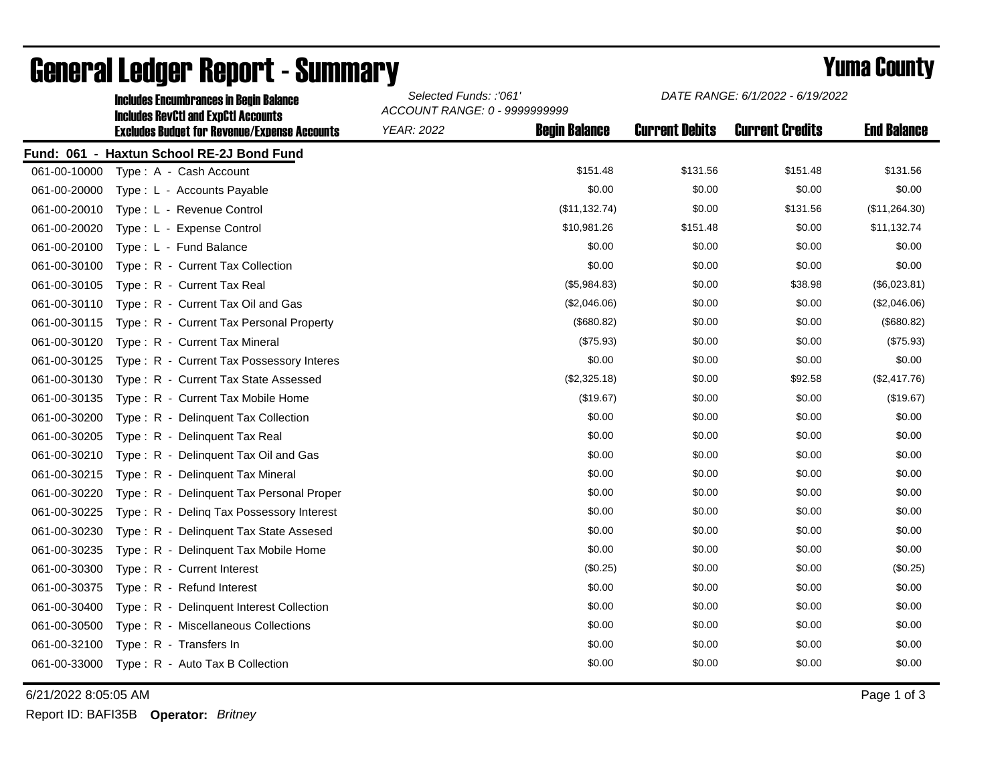|              | <b>Includes Encumbrances in Begin Balance</b>                                                     | Selected Funds: :'061'<br>ACCOUNT RANGE: 0 - 9999999999 |                      | DATE RANGE: 6/1/2022 - 6/19/2022 |                        |                    |
|--------------|---------------------------------------------------------------------------------------------------|---------------------------------------------------------|----------------------|----------------------------------|------------------------|--------------------|
|              | <b>Includes RevCtI and ExpCtI Accounts</b><br><b>Excludes Budget for Revenue/Expense Accounts</b> | <b>YEAR: 2022</b>                                       | <b>Begin Balance</b> | <b>Current Debits</b>            | <b>Current Credits</b> | <b>End Balance</b> |
|              | Fund: 061 - Haxtun School RE-2J Bond Fund                                                         |                                                         |                      |                                  |                        |                    |
| 061-00-10000 | Type: A - Cash Account                                                                            |                                                         | \$151.48             | \$131.56                         | \$151.48               | \$131.56           |
| 061-00-20000 | Type: L - Accounts Payable                                                                        |                                                         | \$0.00               | \$0.00                           | \$0.00                 | \$0.00             |
| 061-00-20010 | Type: L - Revenue Control                                                                         |                                                         | (\$11, 132.74)       | \$0.00                           | \$131.56               | (\$11,264.30)      |
| 061-00-20020 | Type: L - Expense Control                                                                         |                                                         | \$10,981.26          | \$151.48                         | \$0.00                 | \$11,132.74        |
| 061-00-20100 | Type: L - Fund Balance                                                                            |                                                         | \$0.00               | \$0.00                           | \$0.00                 | \$0.00             |
| 061-00-30100 | Type: R - Current Tax Collection                                                                  |                                                         | \$0.00               | \$0.00                           | \$0.00                 | \$0.00             |
| 061-00-30105 | Type: R - Current Tax Real                                                                        |                                                         | (\$5,984.83)         | \$0.00                           | \$38.98                | (\$6,023.81)       |
| 061-00-30110 | Type: R - Current Tax Oil and Gas                                                                 |                                                         | (\$2,046.06)         | \$0.00                           | \$0.00                 | (\$2,046.06)       |
| 061-00-30115 | Type: R - Current Tax Personal Property                                                           |                                                         | (\$680.82)           | \$0.00                           | \$0.00                 | (\$680.82)         |
| 061-00-30120 | Type: R - Current Tax Mineral                                                                     |                                                         | (\$75.93)            | \$0.00                           | \$0.00                 | (\$75.93)          |
| 061-00-30125 | Type: R - Current Tax Possessory Interes                                                          |                                                         | \$0.00               | \$0.00                           | \$0.00                 | \$0.00             |
| 061-00-30130 | Type: R - Current Tax State Assessed                                                              |                                                         | (\$2,325.18)         | \$0.00                           | \$92.58                | (\$2,417.76)       |
| 061-00-30135 | Type: R - Current Tax Mobile Home                                                                 |                                                         | (\$19.67)            | \$0.00                           | \$0.00                 | (\$19.67)          |
| 061-00-30200 | Type: R - Delinquent Tax Collection                                                               |                                                         | \$0.00               | \$0.00                           | \$0.00                 | \$0.00             |
| 061-00-30205 | Type: R - Delinguent Tax Real                                                                     |                                                         | \$0.00               | \$0.00                           | \$0.00                 | \$0.00             |
| 061-00-30210 | Type: R - Delinquent Tax Oil and Gas                                                              |                                                         | \$0.00               | \$0.00                           | \$0.00                 | \$0.00             |
| 061-00-30215 | Type: R - Delinquent Tax Mineral                                                                  |                                                         | \$0.00               | \$0.00                           | \$0.00                 | \$0.00             |
| 061-00-30220 | Type: R - Delinquent Tax Personal Proper                                                          |                                                         | \$0.00               | \$0.00                           | \$0.00                 | \$0.00             |
| 061-00-30225 | Type: R - Deling Tax Possessory Interest                                                          |                                                         | \$0.00               | \$0.00                           | \$0.00                 | \$0.00             |
| 061-00-30230 | Type: R - Delinquent Tax State Assesed                                                            |                                                         | \$0.00               | \$0.00                           | \$0.00                 | \$0.00             |
| 061-00-30235 | Type: R - Delinquent Tax Mobile Home                                                              |                                                         | \$0.00               | \$0.00                           | \$0.00                 | \$0.00             |
| 061-00-30300 | Type: R - Current Interest                                                                        |                                                         | (\$0.25)             | \$0.00                           | \$0.00                 | (\$0.25)           |
| 061-00-30375 | Type: R - Refund Interest                                                                         |                                                         | \$0.00               | \$0.00                           | \$0.00                 | \$0.00             |
| 061-00-30400 | Type: R - Delinquent Interest Collection                                                          |                                                         | \$0.00               | \$0.00                           | \$0.00                 | \$0.00             |
| 061-00-30500 | Type: R - Miscellaneous Collections                                                               |                                                         | \$0.00               | \$0.00                           | \$0.00                 | \$0.00             |
| 061-00-32100 | Type: R - Transfers In                                                                            |                                                         | \$0.00               | \$0.00                           | \$0.00                 | \$0.00             |
| 061-00-33000 | Type: R - Auto Tax B Collection                                                                   |                                                         | \$0.00               | \$0.00                           | \$0.00                 | \$0.00             |
|              |                                                                                                   |                                                         |                      |                                  |                        |                    |

## General Ledger Report - Summary **Selected Europe 2007 Start Bulleting County Yuma County**

6/21/2022 8:05:05 AM Page 1 of 3

*DATE RANGE: 6/1/2022 - 6/19/2022*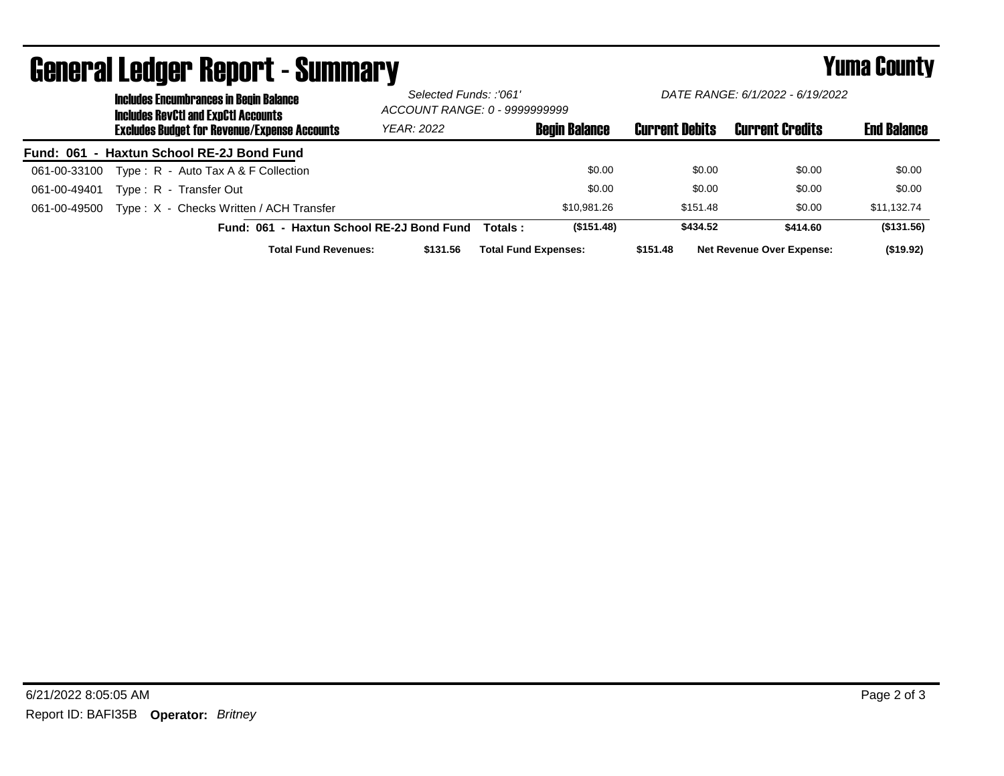|              | <b>Includes Encumbrances in Begin Balance</b><br><b>Includes RevCtI and ExpCtI Accounts</b> | Selected Funds: :'061'<br>ACCOUNT RANGE: 0 - 9999999999 |          | DATE RANGE: 6/1/2022 - 6/19/2022 |                       |                                  |                    |
|--------------|---------------------------------------------------------------------------------------------|---------------------------------------------------------|----------|----------------------------------|-----------------------|----------------------------------|--------------------|
|              | <b>Excludes Budget for Revenue/Expense Accounts</b>                                         | YEAR: 2022                                              |          | <b>Begin Balance</b>             | <b>Current Debits</b> | <b>Current Credits</b>           | <b>End Balance</b> |
|              | Fund: 061 - Haxtun School RE-2J Bond Fund                                                   |                                                         |          |                                  |                       |                                  |                    |
| 061-00-33100 | Type: $R -$ Auto Tax A & F Collection                                                       |                                                         |          | \$0.00                           | \$0.00                | \$0.00                           | \$0.00             |
| 061-00-49401 | Type: R - Transfer Out                                                                      |                                                         |          | \$0.00                           | \$0.00                | \$0.00                           | \$0.00             |
| 061-00-49500 | Type: X - Checks Written / ACH Transfer                                                     |                                                         |          | \$10.981.26                      | \$151.48              | \$0.00                           | \$11,132.74        |
|              | Fund: 061 - Haxtun School RE-2J Bond Fund                                                   |                                                         | Totals : | (\$151.48)                       | \$434.52              | \$414.60                         | (\$131.56)         |
|              | <b>Total Fund Revenues:</b>                                                                 | \$131.56                                                |          | <b>Total Fund Expenses:</b>      | \$151.48              | <b>Net Revenue Over Expense:</b> | (\$19.92)          |

## General Ledger Report - Summary **Secret Express County** Yuma County